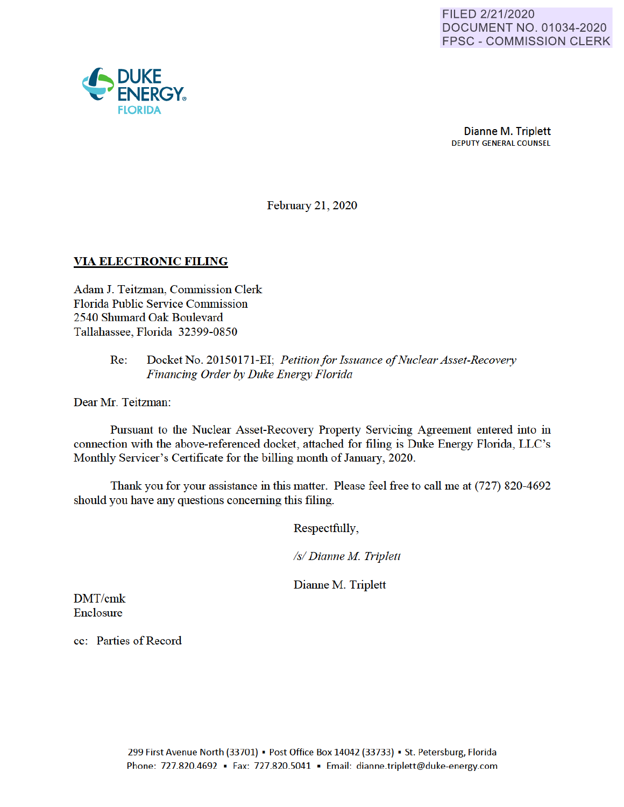

February 21, 2020

## **VIA ELECTRONIC FILING**

Adam J. Teitzman, Commission Clerk Florida Public Service Commission 2540 Shumard Oak Boulevard Tallahassee, Florida 32399-0850

### Re: Docket No. 20150171-EI· *Petition for Issuance of Nuclear Asset-Recovery Financing Order by Duke Energy Florida*

Dear Mr. Teitzman:

Pursuant to the Nuclear Asset-Recovery Property Servicing Agreement entered into in connection with the above-referenced docket, attached for filing is Duke Energy Florida, LLC's Monthly Servicer's Certificate for the billing month of January, 2020.

Thank you for your assistance in this matter. Please feel free to call me at (727) 820-4692 should you have any questions concerning this filing.

Respectfully,

*Isl Dianne M Triplett* 

Dianne M. Triplett

DMT/cmk Enclosure

cc: Parties of Record

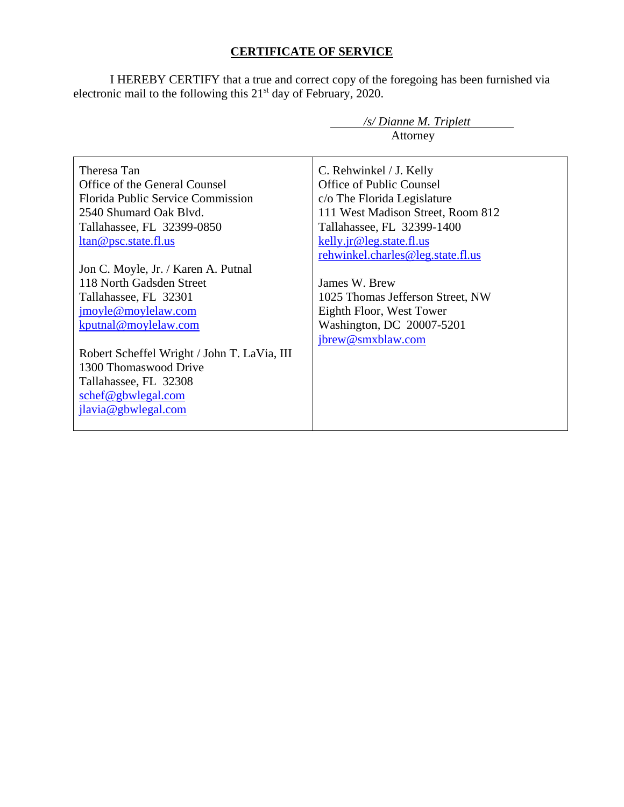# **CERTIFICATE OF SERVICE**

I HEREBY CERTIFY that a true and correct copy of the foregoing has been furnished via electronic mail to the following this  $21<sup>st</sup>$  day of February, 2020.

|                                             | /s/ Dianne M. Triplett            |  |
|---------------------------------------------|-----------------------------------|--|
|                                             | Attorney                          |  |
|                                             |                                   |  |
| Theresa Tan                                 | C. Rehwinkel / J. Kelly           |  |
| Office of the General Counsel               | Office of Public Counsel          |  |
| <b>Florida Public Service Commission</b>    | c/o The Florida Legislature       |  |
| 2540 Shumard Oak Blyd.                      | 111 West Madison Street, Room 812 |  |
| Tallahassee, FL 32399-0850                  | Tallahassee, FL 32399-1400        |  |
| <u>ltan@psc.state.fl.us</u>                 | kelly.jr@leg.state.fl.us          |  |
|                                             | rehwinkel.charles@leg.state.fl.us |  |
| Jon C. Moyle, Jr. / Karen A. Putnal         |                                   |  |
| 118 North Gadsden Street                    | James W. Brew                     |  |
| Tallahassee, FL 32301                       | 1025 Thomas Jefferson Street, NW  |  |
| jmoyle@moylelaw.com                         | Eighth Floor, West Tower          |  |
| kputnal@moylelaw.com                        | Washington, DC 20007-5201         |  |
|                                             | jbrew@smxblaw.com                 |  |
| Robert Scheffel Wright / John T. LaVia, III |                                   |  |
| 1300 Thomaswood Drive                       |                                   |  |
| Tallahassee, FL 32308                       |                                   |  |
| schef@gbwlegal.com                          |                                   |  |
| jlavia@gbwlegal.com                         |                                   |  |
|                                             |                                   |  |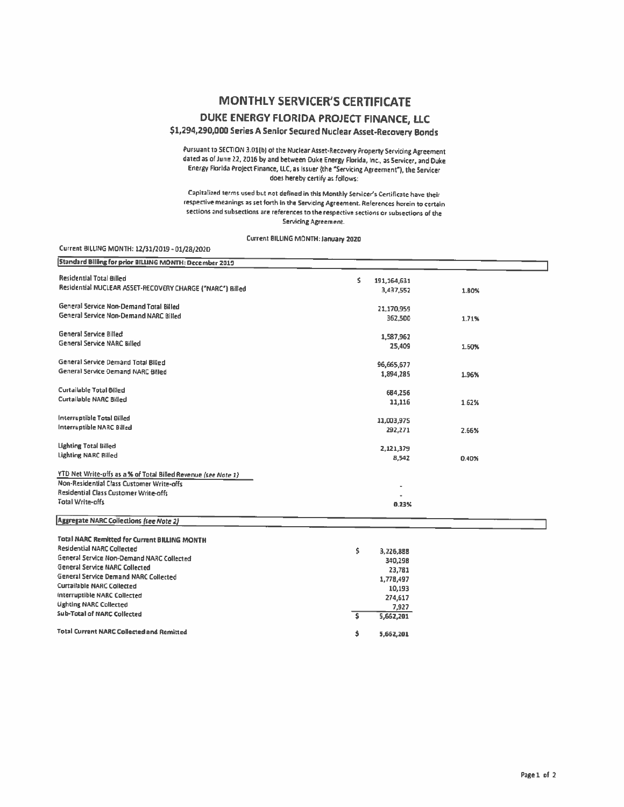# **MONTHLY SERVICER'S CERTIFICATE**

DUKE ENERGY FLORIDA PROJECT FINANCE, LLC

#### \$1,294,290,000 Series A Senior Secured Nuclear Asset-Recovery Bonds

Pursuant to SECTION 3.01(b) of the Nuclear Asset-Recovery Property Servicing Agreement dated as of June 22, 2016 by and between Duke Energy Florida, Inc., as Servicer, and Duke Energy Florida Project Finance, LLC, as Issuer (the "Servicing Agreement"), the Servicer does hereby certify as follows:

Capitalized terms used but not defined in this Monthly Servicer's Certificate have their respective meanings as set forth in the Servicing Agreement. References herein to certain sections and subsections are references to the respective sections or subsections of the **Servicing Agreement.** 

Current BILLING MONTH: January 2020

| Current BILLING MONTH: 12/31/2019 - 01/28/2020                 |                     |       |  |
|----------------------------------------------------------------|---------------------|-------|--|
| Standard Billing for prior BILLING MONTH: December 2019        |                     |       |  |
| <b>Residential Total Billed</b>                                | Ś.<br>191, 164, 631 |       |  |
| Residential NUCLEAR ASSET-RECOVERY CHARGE ("NARC") Billed      | 3,437,552           | 1.80% |  |
| General Service Non-Demand Total Billed                        | 21,170,959          |       |  |
| General Service Non-Demand NARC Billed                         | 362,500             | 1.71% |  |
| <b>General Service Billed</b>                                  | 1,587,962           |       |  |
| <b>General Service NARC Billed</b>                             | 25,409              | 1.60% |  |
| General Service Demand Total Billed                            | 96,665,677          |       |  |
| General Service Demand NARC Billed                             | 1,894,285           | 1.96% |  |
| Curtailable Total Billed                                       | 684,256             |       |  |
| Curtailable NARC Billed                                        | 11,116              | 1.62% |  |
| Interruptible Total Billed                                     | 11,003,975          |       |  |
| Interruptible NARC Billed                                      | 292,271             | 2.66% |  |
| <b>Lighting Total Billed</b>                                   | 2,121,379           |       |  |
| Lighting NARC Billed                                           | 8,542               | 0.40% |  |
| YTD Net Write-offs as a % of Total Billed Revenue (see Note 1) |                     |       |  |
| Non-Residential Class Customer Write-offs                      |                     |       |  |
| Residential Class Customer Write-offs                          |                     |       |  |
| Total Write-offs                                               | 0.23%               |       |  |
| Aggregate NARC Collections (see Note 2)                        |                     |       |  |
| <b>Total NARC Remitted for Current BILLING MONTH</b>           |                     |       |  |
| <b>Residential NARC Collected</b>                              | s.<br>3,226,888     |       |  |
| General Service Non-Demand NARC Collected                      | 340,298             |       |  |
| <b>General Service NARC Collected</b>                          | 23,781              |       |  |
| General Service Demand NARC Collected                          | 1,778,497           |       |  |
| <b>Curtailable NARC Collected</b>                              | 10,193              |       |  |
| Interruptible NARC Collected                                   | 274,617             |       |  |
| <b>Lighting NARC Collected</b>                                 | 7,927               |       |  |
| Sub-Total of NARC Collected                                    | s<br>5,662,201      |       |  |
| <b>Total Current NARC Collected and Remitted</b>               | \$<br>5,662,201     |       |  |